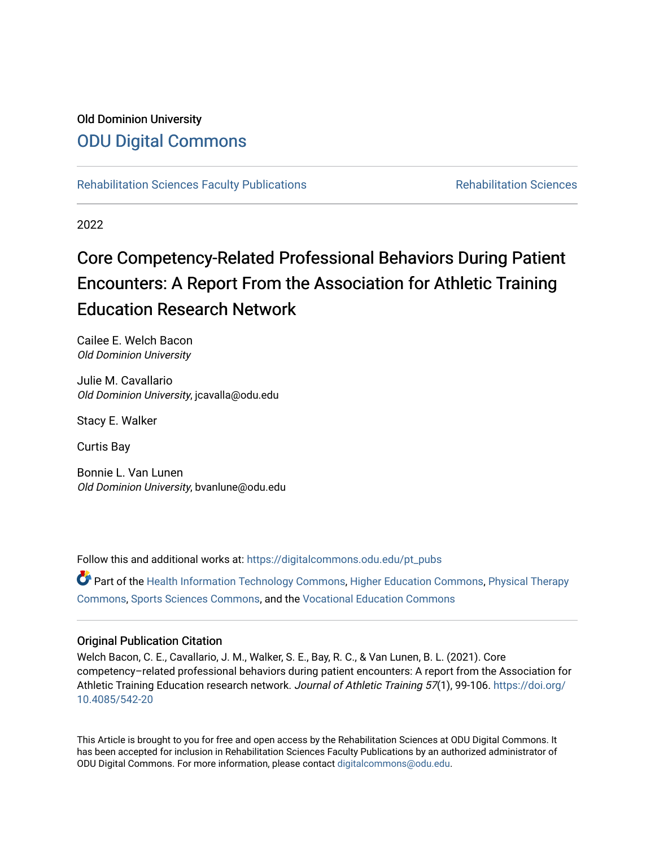## Old Dominion University [ODU Digital Commons](https://digitalcommons.odu.edu/)

[Rehabilitation Sciences Faculty Publications](https://digitalcommons.odu.edu/pt_pubs) **Rehabilitation Sciences** Rehabilitation Sciences

2022

# Core Competency-Related Professional Behaviors During Patient Encounters: A Report From the Association for Athletic Training Education Research Network

Cailee E. Welch Bacon Old Dominion University

Julie M. Cavallario Old Dominion University, jcavalla@odu.edu

Stacy E. Walker

Curtis Bay

Bonnie L. Van Lunen Old Dominion University, bvanlune@odu.edu

Follow this and additional works at: [https://digitalcommons.odu.edu/pt\\_pubs](https://digitalcommons.odu.edu/pt_pubs?utm_source=digitalcommons.odu.edu%2Fpt_pubs%2F85&utm_medium=PDF&utm_campaign=PDFCoverPages)

Part of the [Health Information Technology Commons,](http://network.bepress.com/hgg/discipline/1239?utm_source=digitalcommons.odu.edu%2Fpt_pubs%2F85&utm_medium=PDF&utm_campaign=PDFCoverPages) [Higher Education Commons](http://network.bepress.com/hgg/discipline/1245?utm_source=digitalcommons.odu.edu%2Fpt_pubs%2F85&utm_medium=PDF&utm_campaign=PDFCoverPages), [Physical Therapy](http://network.bepress.com/hgg/discipline/754?utm_source=digitalcommons.odu.edu%2Fpt_pubs%2F85&utm_medium=PDF&utm_campaign=PDFCoverPages) [Commons](http://network.bepress.com/hgg/discipline/754?utm_source=digitalcommons.odu.edu%2Fpt_pubs%2F85&utm_medium=PDF&utm_campaign=PDFCoverPages), [Sports Sciences Commons](http://network.bepress.com/hgg/discipline/759?utm_source=digitalcommons.odu.edu%2Fpt_pubs%2F85&utm_medium=PDF&utm_campaign=PDFCoverPages), and the [Vocational Education Commons](http://network.bepress.com/hgg/discipline/1369?utm_source=digitalcommons.odu.edu%2Fpt_pubs%2F85&utm_medium=PDF&utm_campaign=PDFCoverPages) 

## Original Publication Citation

Welch Bacon, C. E., Cavallario, J. M., Walker, S. E., Bay, R. C., & Van Lunen, B. L. (2021). Core competency–related professional behaviors during patient encounters: A report from the Association for Athletic Training Education research network. Journal of Athletic Training 57(1), 99-106. [https://doi.org/](https://doi.org/10.4085/542-20) [10.4085/542-20](https://doi.org/10.4085/542-20)

This Article is brought to you for free and open access by the Rehabilitation Sciences at ODU Digital Commons. It has been accepted for inclusion in Rehabilitation Sciences Faculty Publications by an authorized administrator of ODU Digital Commons. For more information, please contact [digitalcommons@odu.edu.](mailto:digitalcommons@odu.edu)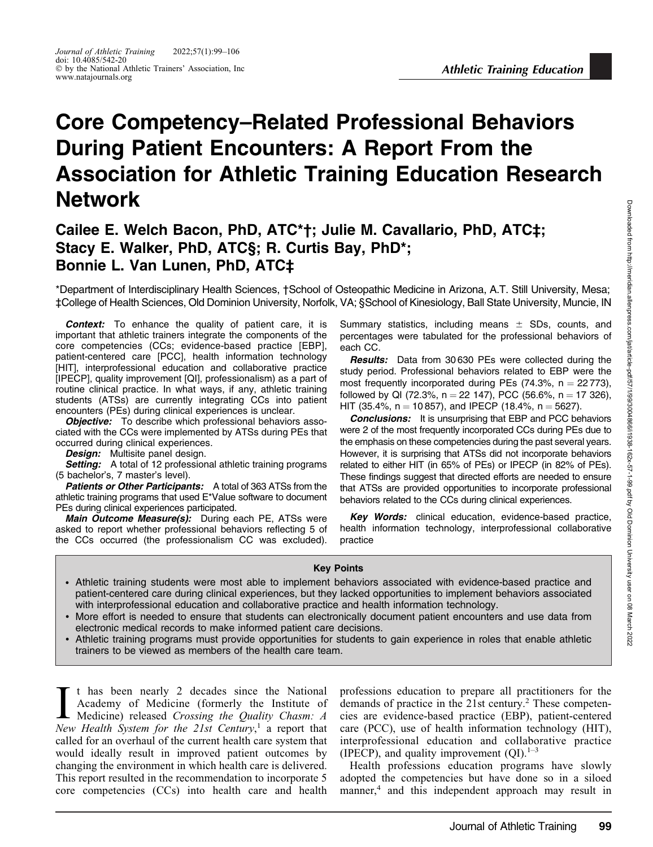# Core Competency–Related Professional Behaviors During Patient Encounters: A Report From the Association for Athletic Training Education Research Network

## Cailee E. Welch Bacon, PhD, ATC\*†; Julie M. Cavallario, PhD, ATC‡; Stacy E. Walker, PhD, ATC§; R. Curtis Bay, PhD\*; Bonnie L. Van Lunen, PhD, ATC‡

\*Department of Interdisciplinary Health Sciences, †School of Osteopathic Medicine in Arizona, A.T. Still University, Mesa; ‡College of Health Sciences, Old Dominion University, Norfolk, VA; §School of Kinesiology, Ball State University, Muncie, IN

Context: To enhance the quality of patient care, it is important that athletic trainers integrate the components of the core competencies (CCs; evidence-based practice [EBP], patient-centered care [PCC], health information technology [HIT], interprofessional education and collaborative practice [IPECP], quality improvement [QI], professionalism) as a part of routine clinical practice. In what ways, if any, athletic training students (ATSs) are currently integrating CCs into patient encounters (PEs) during clinical experiences is unclear.

Objective: To describe which professional behaviors associated with the CCs were implemented by ATSs during PEs that occurred during clinical experiences.

**Design:** Multisite panel design.

Setting: A total of 12 professional athletic training programs (5 bachelor's, 7 master's level).

Patients or Other Participants: A total of 363 ATSs from the athletic training programs that used E\*Value software to document PEs during clinical experiences participated.

Main Outcome Measure(s): During each PE, ATSs were asked to report whether professional behaviors reflecting 5 of the CCs occurred (the professionalism CC was excluded).

Summary statistics, including means  $\pm$  SDs, counts, and percentages were tabulated for the professional behaviors of each CC.

**Results:** Data from 30 630 PEs were collected during the study period. Professional behaviors related to EBP were the most frequently incorporated during PEs  $(74.3\% , n = 22773),$ followed by QI (72.3%,  $n = 22$  147), PCC (56.6%,  $n = 17$  326), HIT (35.4%,  $n = 10857$ ), and IPECP (18.4%,  $n = 5627$ ).

**Conclusions:** It is unsurprising that EBP and PCC behaviors were 2 of the most frequently incorporated CCs during PEs due to the emphasis on these competencies during the past several years. However, it is surprising that ATSs did not incorporate behaviors related to either HIT (in 65% of PEs) or IPECP (in 82% of PEs). These findings suggest that directed efforts are needed to ensure that ATSs are provided opportunities to incorporate professional behaviors related to the CCs during clinical experiences.

Key Words: clinical education, evidence-based practice, health information technology, interprofessional collaborative practice

#### Key Points

- Athletic training students were most able to implement behaviors associated with evidence-based practice and patient-centered care during clinical experiences, but they lacked opportunities to implement behaviors associated with interprofessional education and collaborative practice and health information technology.
- More effort is needed to ensure that students can electronically document patient encounters and use data from electronic medical records to make informed patient care decisions.
- Athletic training programs must provide opportunities for students to gain experience in roles that enable athletic trainers to be viewed as members of the health care team.

I t has been nearly 2 decades since the National<br>Academy of Medicine (formerly the Institute of<br>Medicine) released Crossing the Quality Chasm: A<br>New Health System for the 21st Century <sup>1</sup> a report that t has been nearly 2 decades since the National Academy of Medicine (formerly the Institute of New Health System for the 21st Century,<sup>1</sup> a report that called for an overhaul of the current health care system that would ideally result in improved patient outcomes by changing the environment in which health care is delivered. This report resulted in the recommendation to incorporate 5 core competencies (CCs) into health care and health

professions education to prepare all practitioners for the demands of practice in the 21st century.<sup>2</sup> These competencies are evidence-based practice (EBP), patient-centered care (PCC), use of health information technology (HIT), interprofessional education and collaborative practice (IPECP), and quality improvement  $(QI).<sup>1–3</sup>$ 

Health professions education programs have slowly adopted the competencies but have done so in a siloed manner,<sup>4</sup> and this independent approach may result in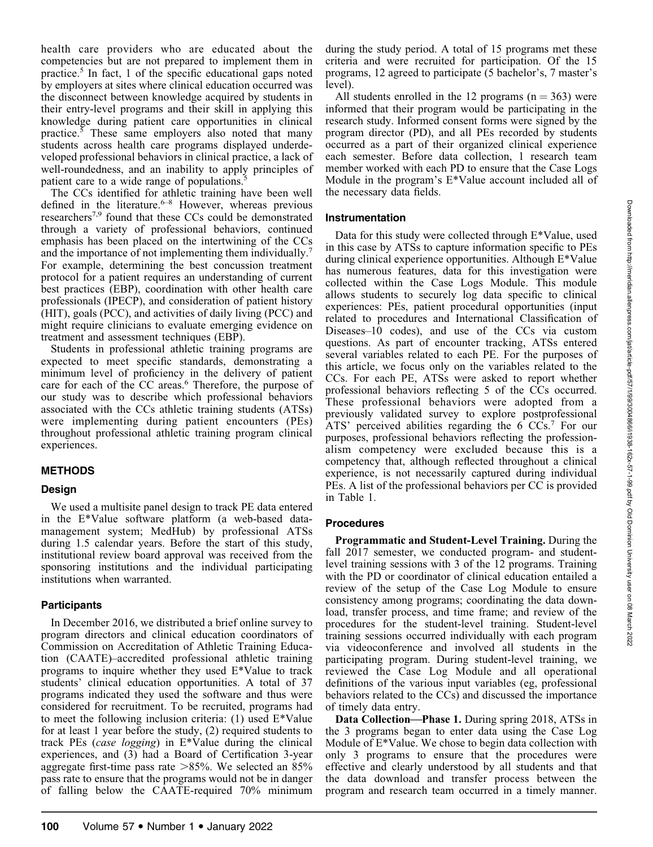health care providers who are educated about the competencies but are not prepared to implement them in practice.5 In fact, 1 of the specific educational gaps noted by employers at sites where clinical education occurred was the disconnect between knowledge acquired by students in their entry-level programs and their skill in applying this knowledge during patient care opportunities in clinical practice.5 These same employers also noted that many students across health care programs displayed underdeveloped professional behaviors in clinical practice, a lack of well-roundedness, and an inability to apply principles of patient care to a wide range of populations.<sup>5</sup>

The CCs identified for athletic training have been well defined in the literature.<sup>6–8</sup> However, whereas previous researchers7,9 found that these CCs could be demonstrated through a variety of professional behaviors, continued emphasis has been placed on the intertwining of the CCs and the importance of not implementing them individually.<sup>7</sup> For example, determining the best concussion treatment protocol for a patient requires an understanding of current best practices (EBP), coordination with other health care professionals (IPECP), and consideration of patient history (HIT), goals (PCC), and activities of daily living (PCC) and might require clinicians to evaluate emerging evidence on treatment and assessment techniques (EBP).

Students in professional athletic training programs are expected to meet specific standards, demonstrating a minimum level of proficiency in the delivery of patient care for each of the CC areas.<sup>6</sup> Therefore, the purpose of our study was to describe which professional behaviors associated with the CCs athletic training students (ATSs) were implementing during patient encounters (PEs) throughout professional athletic training program clinical experiences.

#### METHODS

#### Design

We used a multisite panel design to track PE data entered in the E\*Value software platform (a web-based datamanagement system; MedHub) by professional ATSs during 1.5 calendar years. Before the start of this study, institutional review board approval was received from the sponsoring institutions and the individual participating institutions when warranted.

### **Participants**

In December 2016, we distributed a brief online survey to program directors and clinical education coordinators of Commission on Accreditation of Athletic Training Education (CAATE)–accredited professional athletic training programs to inquire whether they used E\*Value to track students' clinical education opportunities. A total of 37 programs indicated they used the software and thus were considered for recruitment. To be recruited, programs had to meet the following inclusion criteria: (1) used E\*Value for at least 1 year before the study, (2) required students to track PEs (case logging) in E\*Value during the clinical experiences, and (3) had a Board of Certification 3-year aggregate first-time pass rate  $>85\%$ . We selected an 85% pass rate to ensure that the programs would not be in danger of falling below the CAATE-required 70% minimum

during the study period. A total of 15 programs met these criteria and were recruited for participation. Of the 15 programs, 12 agreed to participate (5 bachelor's, 7 master's level).

All students enrolled in the 12 programs ( $n = 363$ ) were informed that their program would be participating in the research study. Informed consent forms were signed by the program director (PD), and all PEs recorded by students occurred as a part of their organized clinical experience each semester. Before data collection, 1 research team member worked with each PD to ensure that the Case Logs Module in the program's E\*Value account included all of the necessary data fields.

#### Instrumentation

Data for this study were collected through E\*Value, used in this case by ATSs to capture information specific to PEs during clinical experience opportunities. Although E\*Value has numerous features, data for this investigation were collected within the Case Logs Module. This module allows students to securely log data specific to clinical experiences: PEs, patient procedural opportunities (input related to procedures and International Classification of Diseases–10 codes), and use of the CCs via custom questions. As part of encounter tracking, ATSs entered several variables related to each PE. For the purposes of this article, we focus only on the variables related to the CCs. For each PE, ATSs were asked to report whether professional behaviors reflecting 5 of the CCs occurred. These professional behaviors were adopted from a previously validated survey to explore postprofessional ATS' perceived abilities regarding the  $6 \, \text{CCs}$ . For our purposes, professional behaviors reflecting the professionalism competency were excluded because this is a competency that, although reflected throughout a clinical experience, is not necessarily captured during individual PEs. A list of the professional behaviors per CC is provided in Table 1.

#### Procedures

Programmatic and Student-Level Training. During the fall 2017 semester, we conducted program- and studentlevel training sessions with 3 of the 12 programs. Training with the PD or coordinator of clinical education entailed a review of the setup of the Case Log Module to ensure consistency among programs; coordinating the data download, transfer process, and time frame; and review of the procedures for the student-level training. Student-level training sessions occurred individually with each program via videoconference and involved all students in the participating program. During student-level training, we reviewed the Case Log Module and all operational definitions of the various input variables (eg, professional behaviors related to the CCs) and discussed the importance of timely data entry.

Data Collection—Phase 1. During spring 2018, ATSs in the 3 programs began to enter data using the Case Log Module of E\*Value. We chose to begin data collection with only 3 programs to ensure that the procedures were effective and clearly understood by all students and that the data download and transfer process between the program and research team occurred in a timely manner.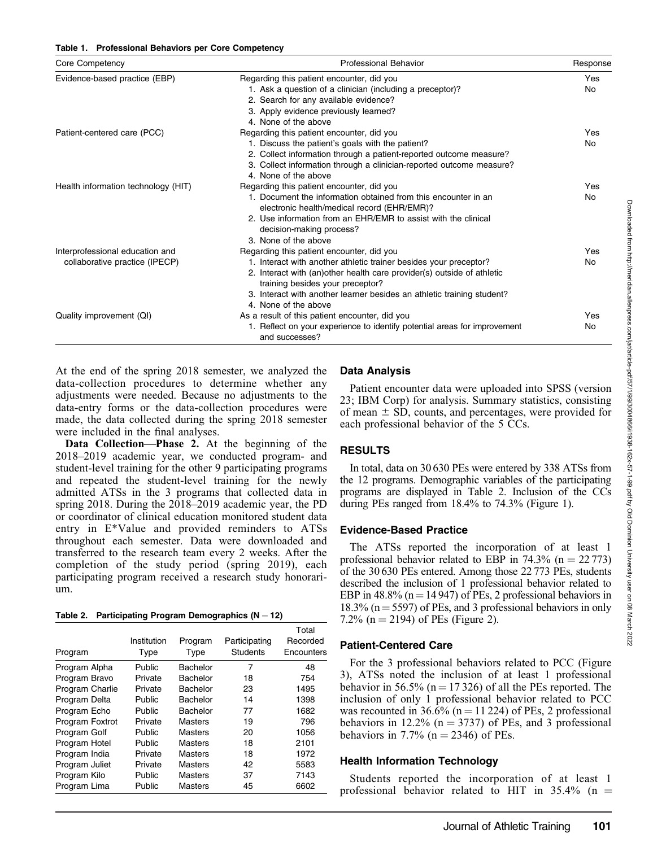#### Table 1. Professional Behaviors per Core Competency

| Core Competency                     | Professional Behavior                                                                                         | Response   |  |
|-------------------------------------|---------------------------------------------------------------------------------------------------------------|------------|--|
| Evidence-based practice (EBP)       | Regarding this patient encounter, did you<br>1. Ask a question of a clinician (including a preceptor)?        | Yes<br>No. |  |
|                                     | 2. Search for any available evidence?<br>3. Apply evidence previously learned?<br>4. None of the above        |            |  |
| Patient-centered care (PCC)         | Regarding this patient encounter, did you                                                                     | Yes        |  |
|                                     | 1. Discuss the patient's goals with the patient?                                                              | No         |  |
|                                     | 2. Collect information through a patient-reported outcome measure?                                            |            |  |
|                                     | 3. Collect information through a clinician-reported outcome measure?                                          |            |  |
|                                     | 4. None of the above                                                                                          |            |  |
| Health information technology (HIT) | Regarding this patient encounter, did you                                                                     | Yes        |  |
|                                     | 1. Document the information obtained from this encounter in an<br>electronic health/medical record (EHR/EMR)? | <b>No</b>  |  |
|                                     | 2. Use information from an EHR/EMR to assist with the clinical<br>decision-making process?                    |            |  |
|                                     | 3. None of the above                                                                                          |            |  |
| Interprofessional education and     | Regarding this patient encounter, did you                                                                     | Yes        |  |
| collaborative practice (IPECP)      | 1. Interact with another athletic trainer besides your preceptor?                                             | <b>No</b>  |  |
|                                     | 2. Interact with (an) other health care provider(s) outside of athletic<br>training besides your preceptor?   |            |  |
|                                     | 3. Interact with another learner besides an athletic training student?                                        |            |  |
|                                     | 4. None of the above                                                                                          |            |  |
| Quality improvement (QI)            | As a result of this patient encounter, did you                                                                | Yes        |  |
|                                     | 1. Reflect on your experience to identify potential areas for improvement<br>and successes?                   | No         |  |

At the end of the spring 2018 semester, we analyzed the data-collection procedures to determine whether any adjustments were needed. Because no adjustments to the data-entry forms or the data-collection procedures were made, the data collected during the spring 2018 semester were included in the final analyses.

Data Collection—Phase 2. At the beginning of the 2018–2019 academic year, we conducted program- and student-level training for the other 9 participating programs and repeated the student-level training for the newly admitted ATSs in the 3 programs that collected data in spring 2018. During the 2018–2019 academic year, the PD or coordinator of clinical education monitored student data entry in E\*Value and provided reminders to ATSs throughout each semester. Data were downloaded and transferred to the research team every 2 weeks. After the completion of the study period (spring 2019), each participating program received a research study honorarium.

Table 2. Participating Program Demographics  $(N = 12)$ 

|                 |             |                |                 | Total      |
|-----------------|-------------|----------------|-----------------|------------|
|                 | Institution | Program        | Participating   | Recorded   |
| Program         | Type        | Type           | <b>Students</b> | Encounters |
| Program Alpha   | Public      | Bachelor       | 7               | 48         |
| Program Bravo   | Private     | Bachelor       | 18              | 754        |
| Program Charlie | Private     | Bachelor       | 23              | 1495       |
| Program Delta   | Public      | Bachelor       | 14              | 1398       |
| Program Echo    | Public      | Bachelor       | 77              | 1682       |
| Program Foxtrot | Private     | Masters        | 19              | 796        |
| Program Golf    | Public      | Masters        | 20              | 1056       |
| Program Hotel   | Public      | Masters        | 18              | 2101       |
| Program India   | Private     | <b>Masters</b> | 18              | 1972       |
| Program Juliet  | Private     | Masters        | 42              | 5583       |
| Program Kilo    | Public      | Masters        | 37              | 7143       |
| Program Lima    | Public      | Masters        | 45              | 6602       |

## Data Analysis

Patient encounter data were uploaded into SPSS (version 23; IBM Corp) for analysis. Summary statistics, consisting of mean  $\pm$  SD, counts, and percentages, were provided for each professional behavior of the 5 CCs.

## RESULTS

In total, data on 30 630 PEs were entered by 338 ATSs from the 12 programs. Demographic variables of the participating programs are displayed in Table 2. Inclusion of the CCs during PEs ranged from 18.4% to 74.3% (Figure 1).

## Evidence-Based Practice

The ATSs reported the incorporation of at least 1 professional behavior related to EBP in 74.3% ( $n = 22773$ ) of the 30 630 PEs entered. Among those 22 773 PEs, students described the inclusion of 1 professional behavior related to EBP in 48.8% ( $n = 14947$ ) of PEs, 2 professional behaviors in 18.3% ( $n = 5597$ ) of PEs, and 3 professional behaviors in only 7.2% ( $n = 2194$ ) of PEs (Figure 2).

## Patient-Centered Care

For the 3 professional behaviors related to PCC (Figure 3), ATSs noted the inclusion of at least 1 professional behavior in 56.5% ( $n = 17326$ ) of all the PEs reported. The inclusion of only 1 professional behavior related to PCC was recounted in 36.6% ( $n = 11224$ ) of PEs, 2 professional behaviors in 12.2% ( $n = 3737$ ) of PEs, and 3 professional behaviors in 7.7% ( $n = 2346$ ) of PEs.

## Health Information Technology

Students reported the incorporation of at least 1 professional behavior related to HIT in  $35.4\%$  (n =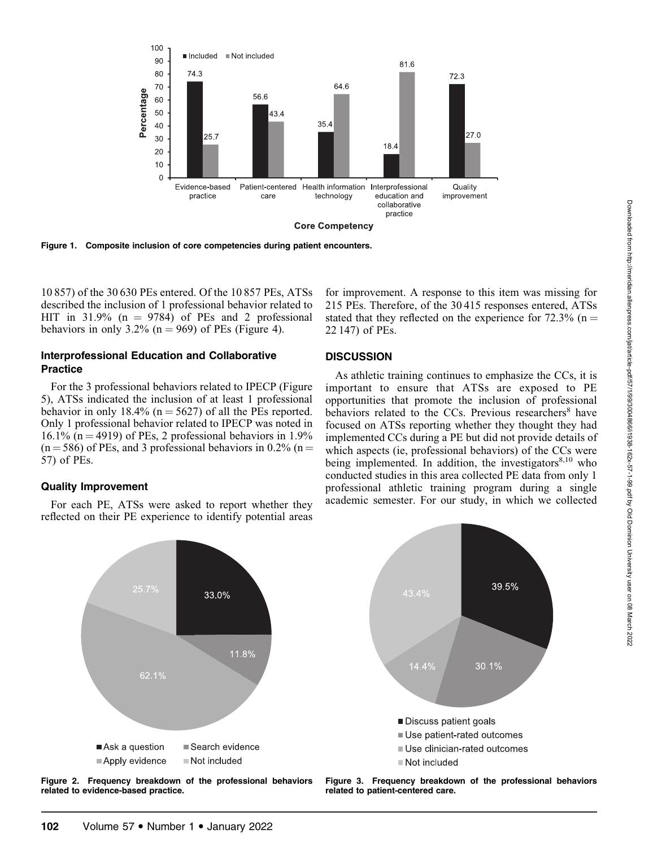

Figure 1. Composite inclusion of core competencies during patient encounters.

10 857) of the 30 630 PEs entered. Of the 10 857 PEs, ATSs described the inclusion of 1 professional behavior related to HIT in 31.9%  $(n = 9784)$  of PEs and 2 professional behaviors in only 3.2% ( $n = 969$ ) of PEs (Figure 4).

## Interprofessional Education and Collaborative **Practice**

For the 3 professional behaviors related to IPECP (Figure 5), ATSs indicated the inclusion of at least 1 professional behavior in only 18.4% ( $n = 5627$ ) of all the PEs reported. Only 1 professional behavior related to IPECP was noted in 16.1% (n = 4919) of PEs, 2 professional behaviors in 1.9%  $(n = 586)$  of PEs, and 3 professional behaviors in 0.2% (n = 57) of PEs.

## Quality Improvement

For each PE, ATSs were asked to report whether they reflected on their PE experience to identify potential areas

## **DISCUSSION**

22 147) of PEs.

As athletic training continues to emphasize the CCs, it is important to ensure that ATSs are exposed to PE opportunities that promote the inclusion of professional behaviors related to the CCs. Previous researchers<sup>8</sup> have focused on ATSs reporting whether they thought they had implemented CCs during a PE but did not provide details of which aspects (ie, professional behaviors) of the CCs were being implemented. In addition, the investigators $8,10$  who conducted studies in this area collected PE data from only 1 professional athletic training program during a single academic semester. For our study, in which we collected

for improvement. A response to this item was missing for 215 PEs. Therefore, of the 30 415 responses entered, ATSs stated that they reflected on the experience for  $72.3\%$  (n =



Figure 2. Frequency breakdown of the professional behaviors related to evidence-based practice.

Figure 3. Frequency breakdown of the professional behaviors related to patient-centered care.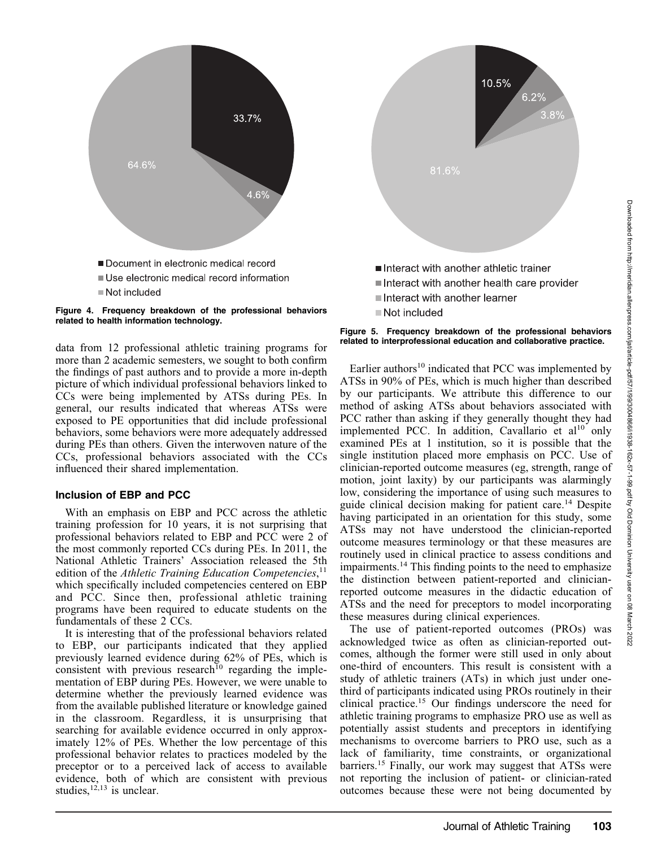



data from 12 professional athletic training programs for more than 2 academic semesters, we sought to both confirm the findings of past authors and to provide a more in-depth picture of which individual professional behaviors linked to CCs were being implemented by ATSs during PEs. In general, our results indicated that whereas ATSs were exposed to PE opportunities that did include professional behaviors, some behaviors were more adequately addressed during PEs than others. Given the interwoven nature of the CCs, professional behaviors associated with the CCs influenced their shared implementation.

### Inclusion of EBP and PCC

With an emphasis on EBP and PCC across the athletic training profession for 10 years, it is not surprising that professional behaviors related to EBP and PCC were 2 of the most commonly reported CCs during PEs. In 2011, the National Athletic Trainers' Association released the 5th edition of the Athletic Training Education Competencies,<sup>11</sup> which specifically included competencies centered on EBP and PCC. Since then, professional athletic training programs have been required to educate students on the fundamentals of these 2 CCs.

It is interesting that of the professional behaviors related to EBP, our participants indicated that they applied previously learned evidence during 62% of PEs, which is consistent with previous research<sup>10</sup> regarding the implementation of EBP during PEs. However, we were unable to determine whether the previously learned evidence was from the available published literature or knowledge gained in the classroom. Regardless, it is unsurprising that searching for available evidence occurred in only approximately 12% of PEs. Whether the low percentage of this professional behavior relates to practices modeled by the preceptor or to a perceived lack of access to available evidence, both of which are consistent with previous studies,  $12,13$  is unclear.



■ Not included

Earlier authors $10$  indicated that PCC was implemented by ATSs in 90% of PEs, which is much higher than described by our participants. We attribute this difference to our method of asking ATSs about behaviors associated with PCC rather than asking if they generally thought they had implemented PCC. In addition, Cavallario et  $al^{10}$  only examined PEs at 1 institution, so it is possible that the single institution placed more emphasis on PCC. Use of clinician-reported outcome measures (eg, strength, range of motion, joint laxity) by our participants was alarmingly low, considering the importance of using such measures to guide clinical decision making for patient care.<sup>14</sup> Despite having participated in an orientation for this study, some ATSs may not have understood the clinician-reported outcome measures terminology or that these measures are routinely used in clinical practice to assess conditions and impairments.14 This finding points to the need to emphasize the distinction between patient-reported and clinicianreported outcome measures in the didactic education of ATSs and the need for preceptors to model incorporating these measures during clinical experiences.

The use of patient-reported outcomes (PROs) was acknowledged twice as often as clinician-reported outcomes, although the former were still used in only about one-third of encounters. This result is consistent with a study of athletic trainers (ATs) in which just under onethird of participants indicated using PROs routinely in their clinical practice.15 Our findings underscore the need for athletic training programs to emphasize PRO use as well as potentially assist students and preceptors in identifying mechanisms to overcome barriers to PRO use, such as a lack of familiarity, time constraints, or organizational barriers.<sup>15</sup> Finally, our work may suggest that ATSs were not reporting the inclusion of patient- or clinician-rated outcomes because these were not being documented by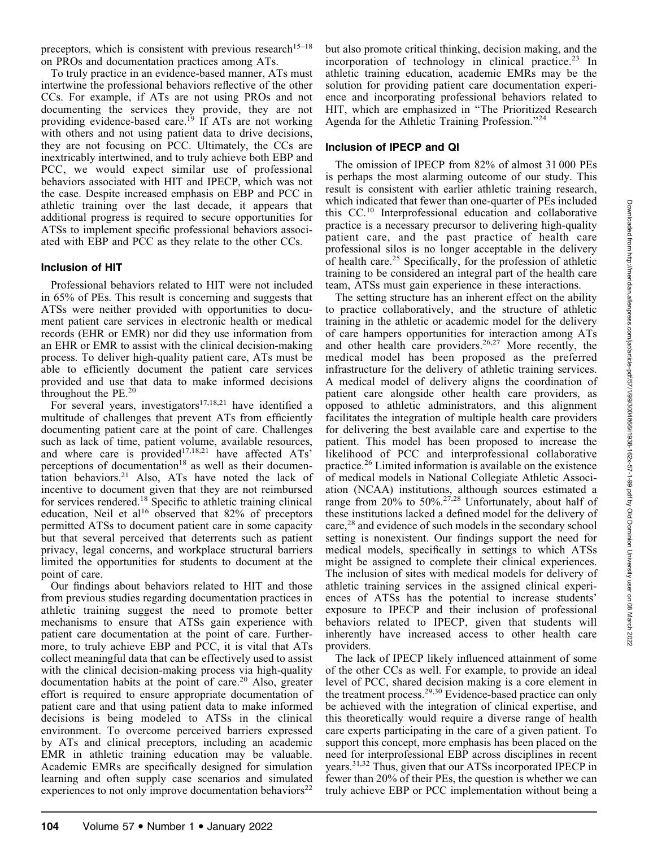preceptors, which is consistent with previous research<sup>15–18</sup> on PROs and documentation practices among ATs.

To truly practice in an evidence-based manner, ATs must intertwine the professional behaviors reflective of the other CCs. For example, if ATs are not using PROs and not documenting the services they provide, they are not providing evidence-based care.<sup>19</sup> If ATs are not working with others and not using patient data to drive decisions, they are not focusing on PCC. Ultimately, the CCs are inextricably intertwined, and to truly achieve both EBP and PCC, we would expect similar use of professional behaviors associated with HIT and IPECP, which was not the case. Despite increased emphasis on EBP and PCC in athletic training over the last decade, it appears that additional progress is required to secure opportunities for ATSs to implement specific professional behaviors associated with EBP and PCC as they relate to the other CCs.

#### Inclusion of HIT

Professional behaviors related to HIT were not included in 65% of PEs. This result is concerning and suggests that ATSs were neither provided with opportunities to document patient care services in electronic health or medical records (EHR or EMR) nor did they use information from an EHR or EMR to assist with the clinical decision-making process. To deliver high-quality patient care, ATs must be able to efficiently document the patient care services provided and use that data to make informed decisions throughout the PE.<sup>20</sup>

For several years, investigators<sup>17,18,21</sup> have identified a multitude of challenges that prevent ATs from efficiently documenting patient care at the point of care. Challenges such as lack of time, patient volume, available resources, and where care is provided<sup>17,18,21</sup> have affected  $ATS<sup>3</sup>$ perceptions of documentation<sup>18</sup> as well as their documentation behaviors.21 Also, ATs have noted the lack of incentive to document given that they are not reimbursed for services rendered.18 Specific to athletic training clinical education, Neil et al<sup>16</sup> observed that  $82\%$  of preceptors permitted ATSs to document patient care in some capacity but that several perceived that deterrents such as patient privacy, legal concerns, and workplace structural barriers limited the opportunities for students to document at the point of care.

Our findings about behaviors related to HIT and those from previous studies regarding documentation practices in athletic training suggest the need to promote better mechanisms to ensure that ATSs gain experience with patient care documentation at the point of care. Furthermore, to truly achieve EBP and PCC, it is vital that ATs collect meaningful data that can be effectively used to assist with the clinical decision-making process via high-quality documentation habits at the point of care.<sup>20</sup> Also, greater effort is required to ensure appropriate documentation of patient care and that using patient data to make informed decisions is being modeled to ATSs in the clinical environment. To overcome perceived barriers expressed by ATs and clinical preceptors, including an academic EMR in athletic training education may be valuable. Academic EMRs are specifically designed for simulation learning and often supply case scenarios and simulated experiences to not only improve documentation behaviors<sup>22</sup>

but also promote critical thinking, decision making, and the incorporation of technology in clinical practice.<sup>23</sup> In athletic training education, academic EMRs may be the solution for providing patient care documentation experience and incorporating professional behaviors related to HIT, which are emphasized in ''The Prioritized Research Agenda for the Athletic Training Profession.''<sup>24</sup>

## Inclusion of IPECP and QI

The omission of IPECP from 82% of almost 31 000 PEs is perhaps the most alarming outcome of our study. This result is consistent with earlier athletic training research, which indicated that fewer than one-quarter of PEs included this CC.<sup>10</sup> Interprofessional education and collaborative practice is a necessary precursor to delivering high-quality patient care, and the past practice of health care professional silos is no longer acceptable in the delivery of health care.<sup>25</sup> Specifically, for the profession of athletic training to be considered an integral part of the health care team, ATSs must gain experience in these interactions.

The setting structure has an inherent effect on the ability to practice collaboratively, and the structure of athletic training in the athletic or academic model for the delivery of care hampers opportunities for interaction among ATs and other health care providers.<sup>26,27</sup> More recently, the medical model has been proposed as the preferred infrastructure for the delivery of athletic training services. A medical model of delivery aligns the coordination of patient care alongside other health care providers, as opposed to athletic administrators, and this alignment facilitates the integration of multiple health care providers for delivering the best available care and expertise to the patient. This model has been proposed to increase the likelihood of PCC and interprofessional collaborative practice.<sup>26</sup> Limited information is available on the existence of medical models in National Collegiate Athletic Association (NCAA) institutions, although sources estimated a range from  $20\%$  to 50%.<sup>27,28</sup> Unfortunately, about half of these institutions lacked a defined model for the delivery of care,<sup>28</sup> and evidence of such models in the secondary school setting is nonexistent. Our findings support the need for medical models, specifically in settings to which ATSs might be assigned to complete their clinical experiences. The inclusion of sites with medical models for delivery of athletic training services in the assigned clinical experiences of ATSs has the potential to increase students' exposure to IPECP and their inclusion of professional behaviors related to IPECP, given that students will inherently have increased access to other health care providers.

The lack of IPECP likely influenced attainment of some of the other CCs as well. For example, to provide an ideal level of PCC, shared decision making is a core element in the treatment process.<sup>29,30</sup> Evidence-based practice can only be achieved with the integration of clinical expertise, and this theoretically would require a diverse range of health care experts participating in the care of a given patient. To support this concept, more emphasis has been placed on the need for interprofessional EBP across disciplines in recent years.31,32 Thus, given that our ATSs incorporated IPECP in fewer than 20% of their PEs, the question is whether we can truly achieve EBP or PCC implementation without being a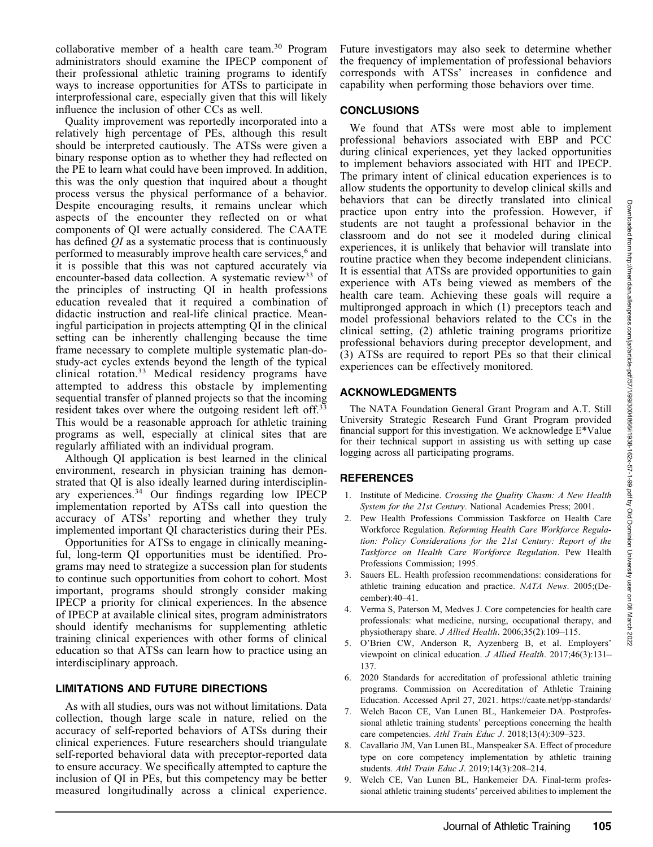collaborative member of a health care team.<sup>30</sup> Program administrators should examine the IPECP component of their professional athletic training programs to identify ways to increase opportunities for ATSs to participate in interprofessional care, especially given that this will likely influence the inclusion of other CCs as well.

Quality improvement was reportedly incorporated into a relatively high percentage of PEs, although this result should be interpreted cautiously. The ATSs were given a binary response option as to whether they had reflected on the PE to learn what could have been improved. In addition, this was the only question that inquired about a thought process versus the physical performance of a behavior. Despite encouraging results, it remains unclear which aspects of the encounter they reflected on or what components of QI were actually considered. The CAATE has defined QI as a systematic process that is continuously performed to measurably improve health care services,<sup>6</sup> and it is possible that this was not captured accurately via encounter-based data collection. A systematic review<sup>33</sup> of the principles of instructing QI in health professions education revealed that it required a combination of didactic instruction and real-life clinical practice. Meaningful participation in projects attempting QI in the clinical setting can be inherently challenging because the time frame necessary to complete multiple systematic plan-dostudy-act cycles extends beyond the length of the typical clinical rotation.<sup>33</sup> Medical residency programs have attempted to address this obstacle by implementing sequential transfer of planned projects so that the incoming resident takes over where the outgoing resident left off.<sup>33</sup> This would be a reasonable approach for athletic training programs as well, especially at clinical sites that are regularly affiliated with an individual program.

Although QI application is best learned in the clinical environment, research in physician training has demonstrated that QI is also ideally learned during interdisciplinary experiences.<sup>34</sup> Our findings regarding low IPECP implementation reported by ATSs call into question the accuracy of ATSs' reporting and whether they truly implemented important QI characteristics during their PEs.

Opportunities for ATSs to engage in clinically meaningful, long-term QI opportunities must be identified. Programs may need to strategize a succession plan for students to continue such opportunities from cohort to cohort. Most important, programs should strongly consider making IPECP a priority for clinical experiences. In the absence of IPECP at available clinical sites, program administrators should identify mechanisms for supplementing athletic training clinical experiences with other forms of clinical education so that ATSs can learn how to practice using an interdisciplinary approach.

## LIMITATIONS AND FUTURE DIRECTIONS

As with all studies, ours was not without limitations. Data collection, though large scale in nature, relied on the accuracy of self-reported behaviors of ATSs during their clinical experiences. Future researchers should triangulate self-reported behavioral data with preceptor-reported data to ensure accuracy. We specifically attempted to capture the inclusion of QI in PEs, but this competency may be better measured longitudinally across a clinical experience.

Future investigators may also seek to determine whether the frequency of implementation of professional behaviors corresponds with ATSs' increases in confidence and capability when performing those behaviors over time.

### **CONCLUSIONS**

We found that ATSs were most able to implement professional behaviors associated with EBP and PCC during clinical experiences, yet they lacked opportunities to implement behaviors associated with HIT and IPECP. The primary intent of clinical education experiences is to allow students the opportunity to develop clinical skills and behaviors that can be directly translated into clinical practice upon entry into the profession. However, if students are not taught a professional behavior in the classroom and do not see it modeled during clinical experiences, it is unlikely that behavior will translate into routine practice when they become independent clinicians. It is essential that ATSs are provided opportunities to gain experience with ATs being viewed as members of the health care team. Achieving these goals will require a multipronged approach in which (1) preceptors teach and model professional behaviors related to the CCs in the clinical setting, (2) athletic training programs prioritize professional behaviors during preceptor development, and (3) ATSs are required to report PEs so that their clinical experiences can be effectively monitored.

## ACKNOWLEDGMENTS

The NATA Foundation General Grant Program and A.T. Still University Strategic Research Fund Grant Program provided financial support for this investigation. We acknowledge E\*Value for their technical support in assisting us with setting up case logging across all participating programs.

## **REFERENCES**

- 1. Institute of Medicine. Crossing the Quality Chasm: A New Health System for the 21st Century. National Academies Press; 2001.
- 2. Pew Health Professions Commission Taskforce on Health Care Workforce Regulation. Reforming Health Care Workforce Regulation: Policy Considerations for the 21st Century: Report of the Taskforce on Health Care Workforce Regulation. Pew Health Professions Commission; 1995.
- 3. Sauers EL. Health profession recommendations: considerations for athletic training education and practice. NATA News. 2005;(December):40–41.
- 4. Verma S, Paterson M, Medves J. Core competencies for health care professionals: what medicine, nursing, occupational therapy, and physiotherapy share. J Allied Health. 2006;35(2):109–115.
- 5. O'Brien CW, Anderson R, Ayzenberg B, et al. Employers' viewpoint on clinical education. J Allied Health. 2017;46(3):131– 137.
- 6. 2020 Standards for accreditation of professional athletic training programs. Commission on Accreditation of Athletic Training Education. Accessed April 27, 2021. https://caate.net/pp-standards/
- 7. Welch Bacon CE, Van Lunen BL, Hankemeier DA. Postprofessional athletic training students' perceptions concerning the health care competencies. Athl Train Educ J. 2018;13(4):309–323.
- 8. Cavallario JM, Van Lunen BL, Manspeaker SA. Effect of procedure type on core competency implementation by athletic training students. Athl Train Educ J. 2019;14(3):208–214.
- 9. Welch CE, Van Lunen BL, Hankemeier DA. Final-term professional athletic training students' perceived abilities to implement the